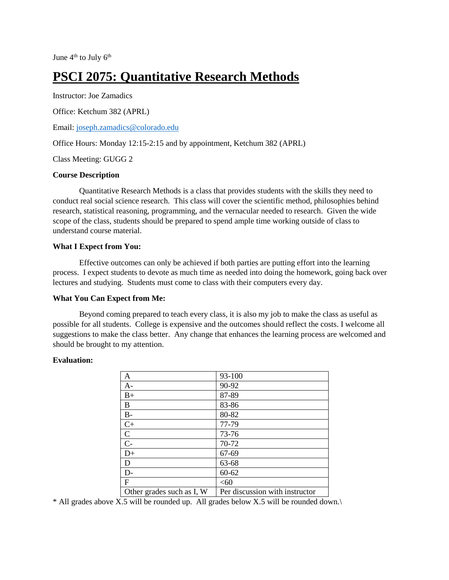June  $4<sup>th</sup>$  to July  $6<sup>th</sup>$ 

# **PSCI 2075: Quantitative Research Methods**

Instructor: Joe Zamadics

Office: Ketchum 382 (APRL)

Email: [joseph.zamadics@colorado.edu](mailto:joseph.zamadics@colorado.edu)

Office Hours: Monday 12:15-2:15 and by appointment, Ketchum 382 (APRL)

Class Meeting: GUGG 2

#### **Course Description**

Quantitative Research Methods is a class that provides students with the skills they need to conduct real social science research. This class will cover the scientific method, philosophies behind research, statistical reasoning, programming, and the vernacular needed to research. Given the wide scope of the class, students should be prepared to spend ample time working outside of class to understand course material.

#### **What I Expect from You:**

Effective outcomes can only be achieved if both parties are putting effort into the learning process. I expect students to devote as much time as needed into doing the homework, going back over lectures and studying. Students must come to class with their computers every day.

# **What You Can Expect from Me:**

Beyond coming prepared to teach every class, it is also my job to make the class as useful as possible for all students. College is expensive and the outcomes should reflect the costs. I welcome all suggestions to make the class better. Any change that enhances the learning process are welcomed and should be brought to my attention.

#### **Evaluation:**

| $\mathbf{A}$              | 93-100                         |
|---------------------------|--------------------------------|
| $A-$                      | 90-92                          |
| $B+$                      | 87-89                          |
| B                         | 83-86                          |
| $B-$                      | 80-82                          |
| $C+$                      | 77-79                          |
| $\mathbf C$               | 73-76                          |
| $C -$                     | 70-72                          |
| $D+$                      | 67-69                          |
| D                         | 63-68                          |
| $D-$                      | $60 - 62$                      |
| $\mathbf{F}$              | <60                            |
| Other grades such as I, W | Per discussion with instructor |

\* All grades above X.5 will be rounded up. All grades below X.5 will be rounded down.\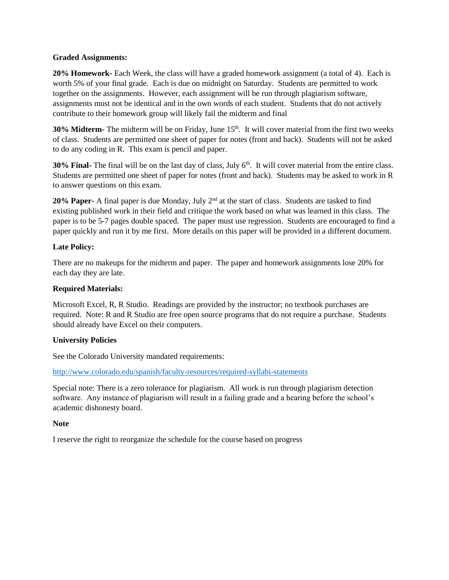#### **Graded Assignments:**

**20% Homework-** Each Week, the class will have a graded homework assignment (a total of 4). Each is worth 5% of your final grade. Each is due on midnight on Saturday. Students are permitted to work together on the assignments. However, each assignment will be run through plagiarism software, assignments must not be identical and in the own words of each student. Students that do not actively contribute to their homework group will likely fail the midterm and final

**30% Midterm-** The midterm will be on Friday, June 15<sup>th</sup>. It will cover material from the first two weeks of class. Students are permitted one sheet of paper for notes (front and back). Students will not be asked to do any coding in R. This exam is pencil and paper.

**30% Final-** The final will be on the last day of class, July 6<sup>th</sup>. It will cover material from the entire class. Students are permitted one sheet of paper for notes (front and back). Students may be asked to work in R to answer questions on this exam.

**20% Paper-** A final paper is due Monday, July 2<sup>nd</sup> at the start of class. Students are tasked to find existing published work in their field and critique the work based on what was learned in this class. The paper is to be 5-7 pages double spaced. The paper must use regression. Students are encouraged to find a paper quickly and run it by me first. More details on this paper will be provided in a different document.

# **Late Policy:**

There are no makeups for the midterm and paper. The paper and homework assignments lose 20% for each day they are late.

# **Required Materials:**

Microsoft Excel, R, R Studio. Readings are provided by the instructor; no textbook purchases are required. Note: R and R Studio are free open source programs that do not require a purchase. Students should already have Excel on their computers.

# **University Policies**

See the Colorado University mandated requirements:

<http://www.colorado.edu/spanish/faculty-resources/required-syllabi-statements>

Special note: There is a zero tolerance for plagiarism. All work is run through plagiarism detection software. Any instance of plagiarism will result in a failing grade and a hearing before the school's academic dishonesty board.

# **Note**

I reserve the right to reorganize the schedule for the course based on progress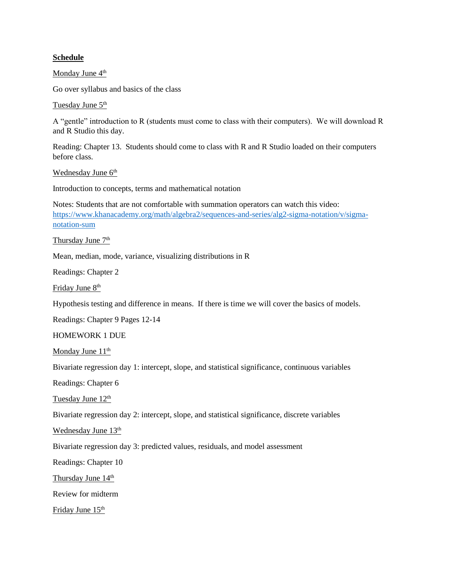#### **Schedule**

Monday June 4<sup>th</sup>

Go over syllabus and basics of the class

Tuesday June 5<sup>th</sup>

A "gentle" introduction to R (students must come to class with their computers). We will download R and R Studio this day.

Reading: Chapter 13. Students should come to class with R and R Studio loaded on their computers before class.

Wednesday June 6<sup>th</sup>

Introduction to concepts, terms and mathematical notation

Notes: Students that are not comfortable with summation operators can watch this video: [https://www.khanacademy.org/math/algebra2/sequences-and-series/alg2-sigma-notation/v/sigma](https://www.khanacademy.org/math/algebra2/sequences-and-series/alg2-sigma-notation/v/sigma-notation-sum)[notation-sum](https://www.khanacademy.org/math/algebra2/sequences-and-series/alg2-sigma-notation/v/sigma-notation-sum)

Thursday June 7<sup>th</sup>

Mean, median, mode, variance, visualizing distributions in R

Readings: Chapter 2

Friday June 8<sup>th</sup>

Hypothesis testing and difference in means. If there is time we will cover the basics of models.

Readings: Chapter 9 Pages 12-14

HOMEWORK 1 DUE

Monday June 11<sup>th</sup>

Bivariate regression day 1: intercept, slope, and statistical significance, continuous variables

Readings: Chapter 6

Tuesday June 12<sup>th</sup>

Bivariate regression day 2: intercept, slope, and statistical significance, discrete variables

Wednesday June 13<sup>th</sup>

Bivariate regression day 3: predicted values, residuals, and model assessment

Readings: Chapter 10

Thursday June 14<sup>th</sup>

Review for midterm

Friday June 15<sup>th</sup>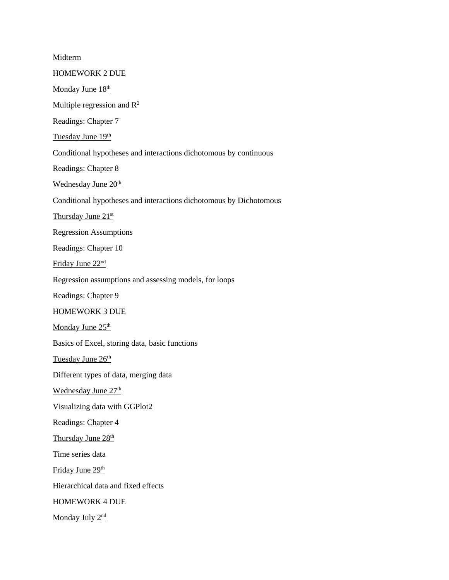Midterm HOMEWORK 2 DUE Monday June 18<sup>th</sup> Multiple regression and  $R^2$ Readings: Chapter 7 Tuesday June 19th Conditional hypotheses and interactions dichotomous by continuous Readings: Chapter 8 Wednesday June 20<sup>th</sup> Conditional hypotheses and interactions dichotomous by Dichotomous Thursday June 21<sup>st</sup> Regression Assumptions Readings: Chapter 10 Friday June 22nd Regression assumptions and assessing models, for loops Readings: Chapter 9 HOMEWORK 3 DUE Monday June 25<sup>th</sup> Basics of Excel, storing data, basic functions Tuesday June 26<sup>th</sup> Different types of data, merging data Wednesday June 27<sup>th</sup> Visualizing data with GGPlot2 Readings: Chapter 4 Thursday June 28<sup>th</sup> Time series data Friday June 29<sup>th</sup> Hierarchical data and fixed effects HOMEWORK 4 DUE Monday July 2<sup>nd</sup>